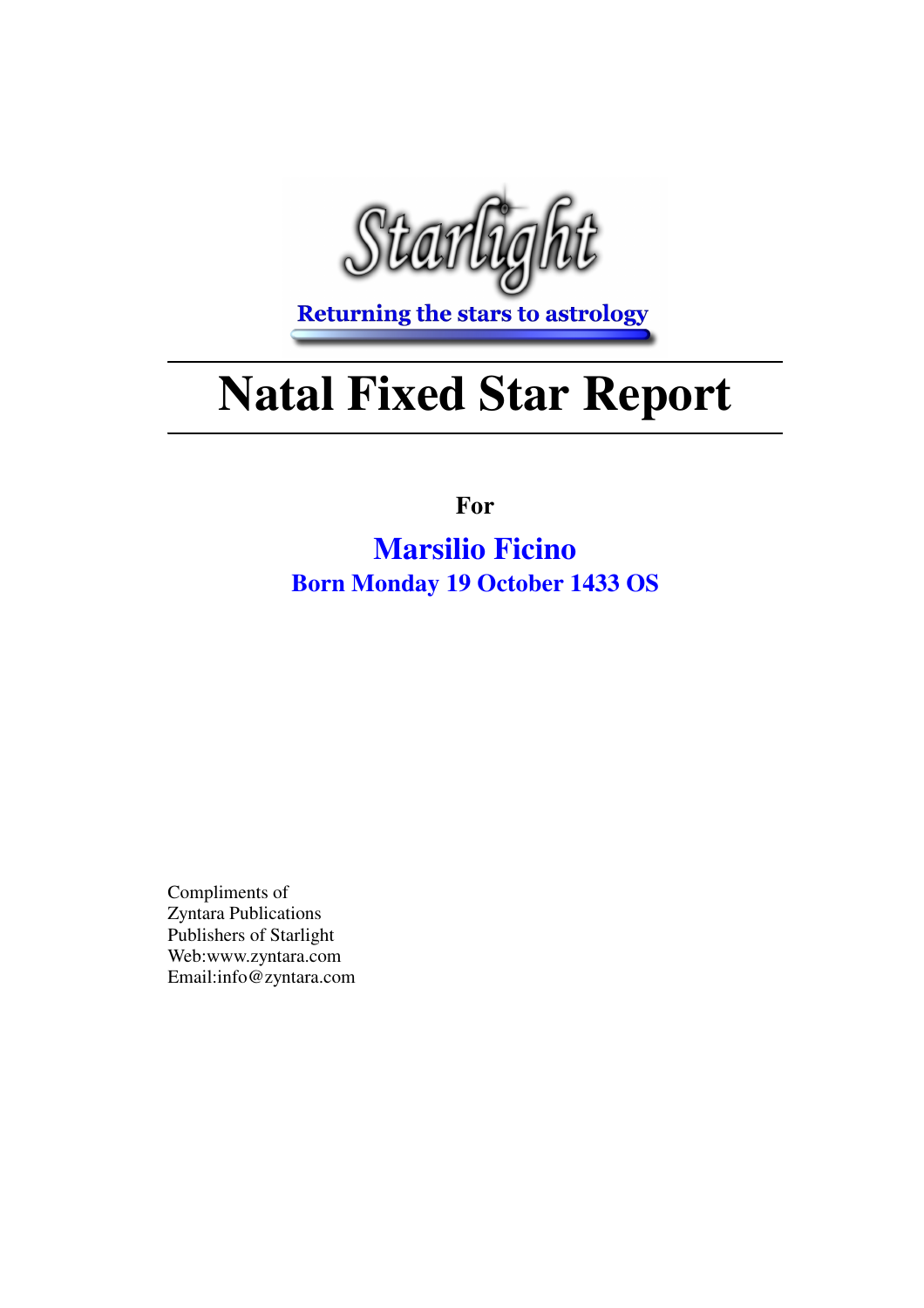

**Returning the stars to astrology** 

# **Natal Fixed Star Report**

**For**

**Marsilio Ficino Born Monday 19 October 1433 OS**

Compliments of Zyntara Publications Publishers of Starlight Web:www.zyntara.com Email:info@zyntara.com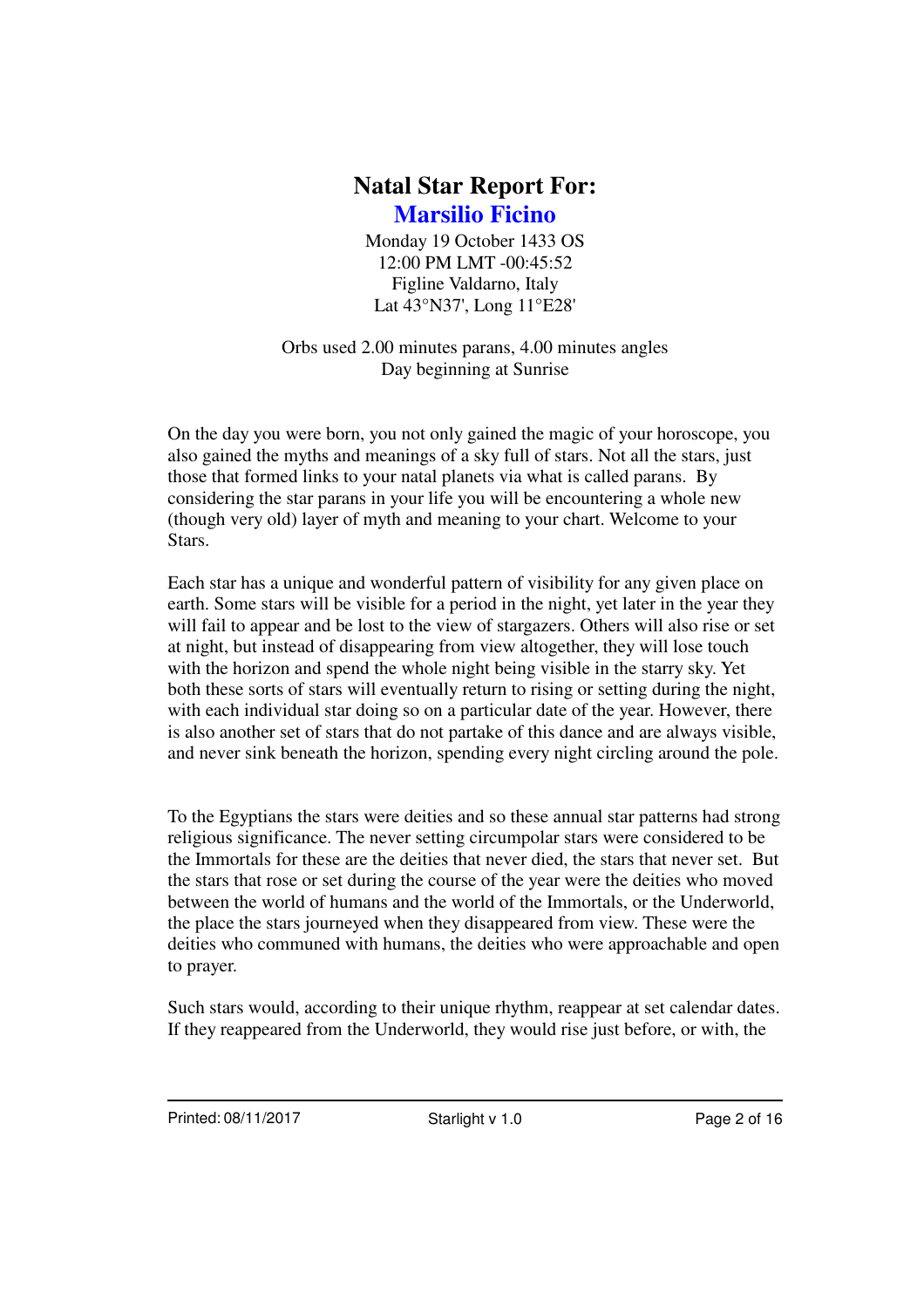Monday 19 October 1433 OS 12:00 PM LMT -00:45:52 Figline Valdarno, Italy Lat 43°N37', Long 11°E28'

Orbs used 2.00 minutes parans, 4.00 minutes angles Day beginning at Sunrise

On the day you were born, you not only gained the magic of your horoscope, you also gained the myths and meanings of a sky full of stars. Not all the stars, just those that formed links to your natal planets via what is called parans. By considering the star parans in your life you will be encountering a whole new (though very old) layer of myth and meaning to your chart. Welcome to your **Stars**.

Each star has a unique and wonderful pattern of visibility for any given place on earth. Some stars will be visible for a period in the night, yet later in the year they will fail to appear and be lost to the view of stargazers. Others will also rise or set at night, but instead of disappearing from view altogether, they will lose touch with the horizon and spend the whole night being visible in the starry sky. Yet both these sorts of stars will eventually return to rising or setting during the night, with each individual star doing so on a particular date of the year. However, there is also another set of stars that do not partake of this dance and are always visible, and never sink beneath the horizon, spending every night circling around the pole.

To the Egyptians the stars were deities and so these annual star patterns had strong religious significance. The never setting circumpolar stars were considered to be the Immortals for these are the deities that never died, the stars that never set. But the stars that rose or set during the course of the year were the deities who moved between the world of humans and the world of the Immortals, or the Underworld, the place the stars journeyed when they disappeared from view. These were the deities who communed with humans, the deities who were approachable and open to prayer.

Such stars would, according to their unique rhythm, reappear at set calendar dates. If they reappeared from the Underworld, they would rise just before, or with, the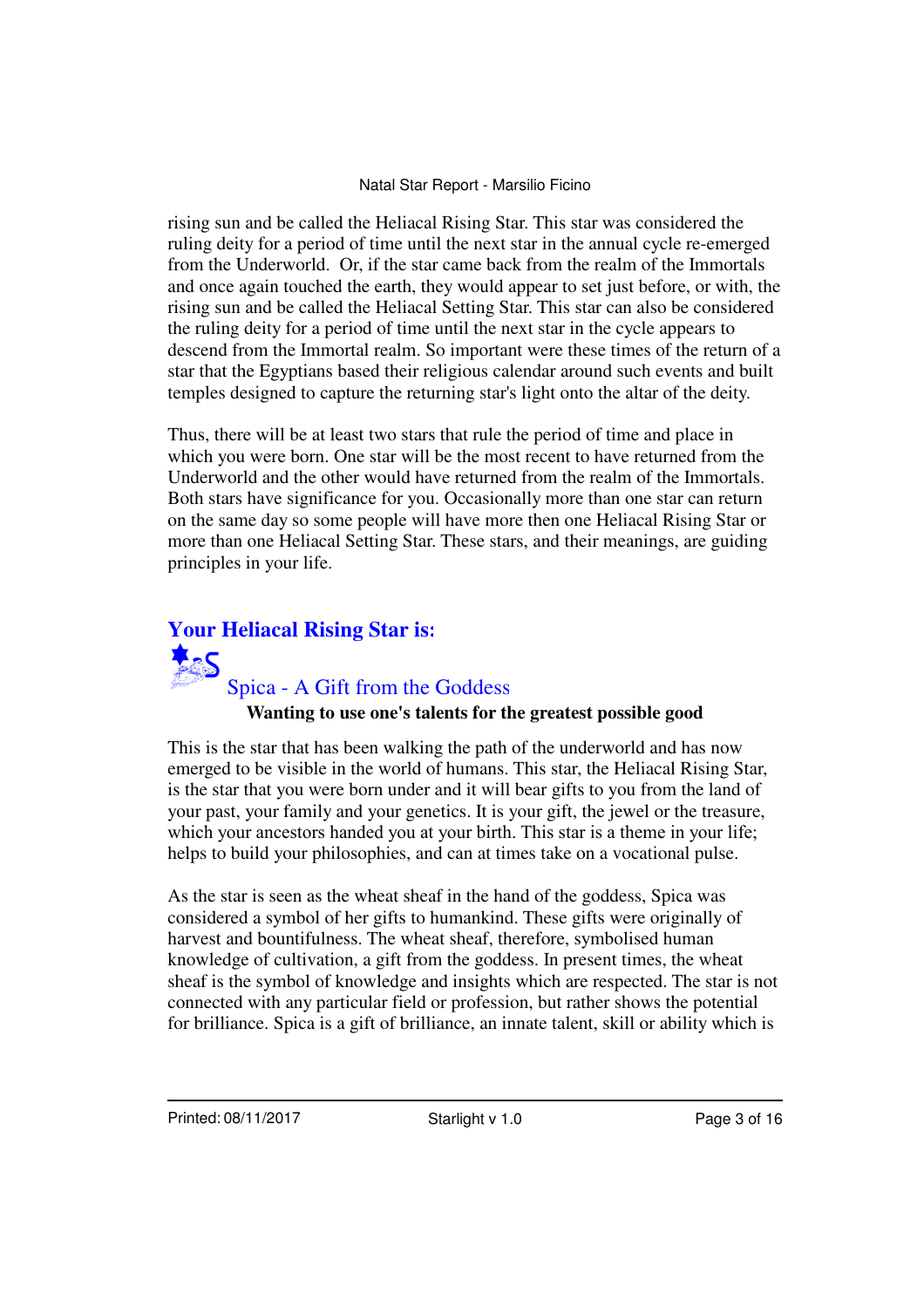rising sun and be called the Heliacal Rising Star. This star was considered the ruling deity for a period of time until the next star in the annual cycle re-emerged from the Underworld. Or, if the star came back from the realm of the Immortals and once again touched the earth, they would appear to set just before, or with, the rising sun and be called the Heliacal Setting Star. This star can also be considered the ruling deity for a period of time until the next star in the cycle appears to descend from the Immortal realm. So important were these times of the return of a star that the Egyptians based their religious calendar around such events and built temples designed to capture the returning star's light onto the altar of the deity.

Thus, there will be at least two stars that rule the period of time and place in which you were born. One star will be the most recent to have returned from the Underworld and the other would have returned from the realm of the Immortals. Both stars have significance for you. Occasionally more than one star can return on the same day so some people will have more then one Heliacal Rising Star or more than one Heliacal Setting Star. These stars, and their meanings, are guiding principles in your life.

# **Your Heliacal Rising Star is:** Spica - A Gift from the Goddess

#### **Wanting to use one's talents for the greatest possible good**

This is the star that has been walking the path of the underworld and has now emerged to be visible in the world of humans. This star, the Heliacal Rising Star, is the star that you were born under and it will bear gifts to you from the land of your past, your family and your genetics. It is your gift, the jewel or the treasure, which your ancestors handed you at your birth. This star is a theme in your life; helps to build your philosophies, and can at times take on a vocational pulse.

As the star is seen as the wheat sheaf in the hand of the goddess, Spica was considered a symbol of her gifts to humankind. These gifts were originally of harvest and bountifulness. The wheat sheaf, therefore, symbolised human knowledge of cultivation, a gift from the goddess. In present times, the wheat sheaf is the symbol of knowledge and insights which are respected. The star is not connected with any particular field or profession, but rather shows the potential for brilliance. Spica is a gift of brilliance, an innate talent, skill or ability which is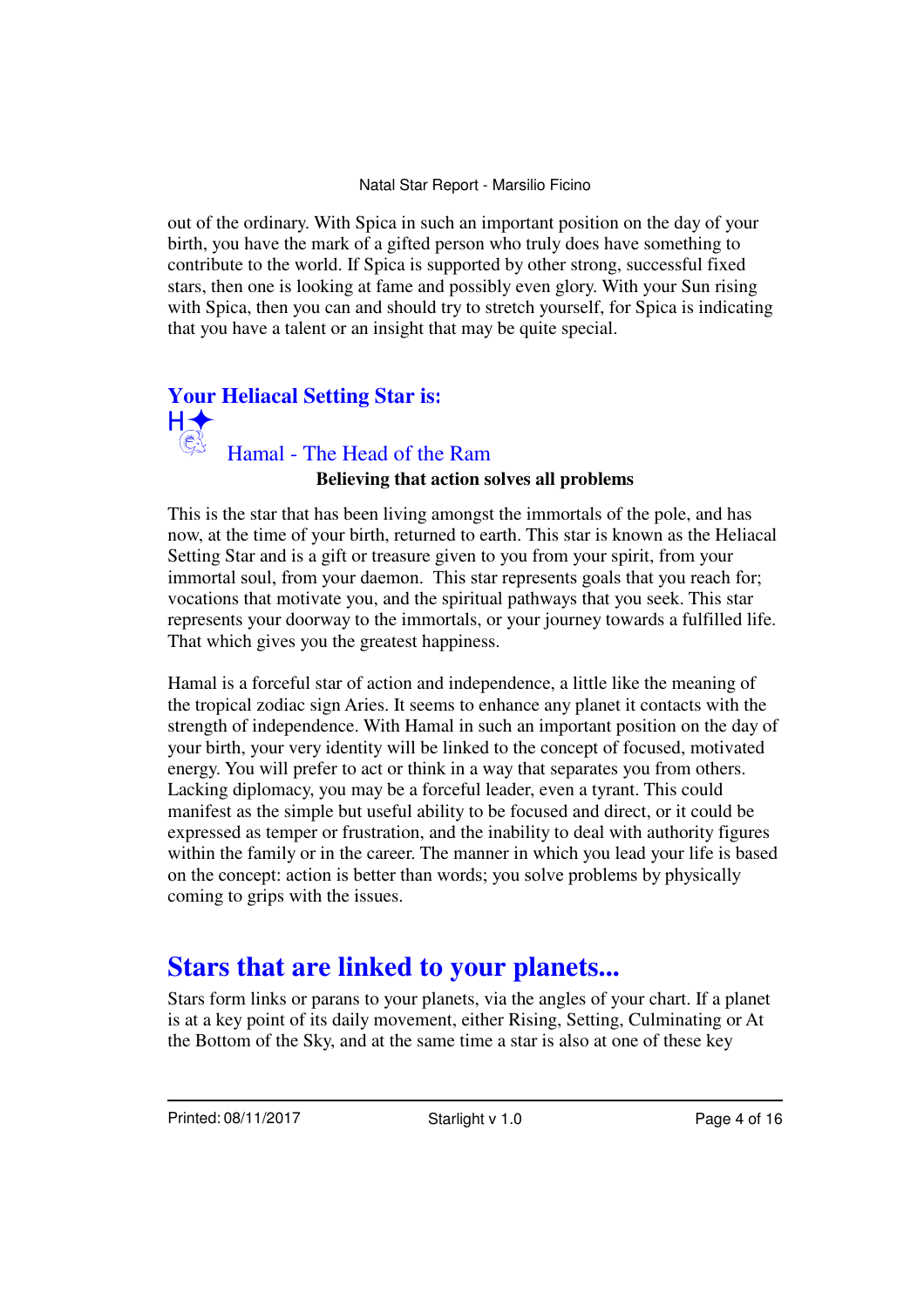out of the ordinary. With Spica in such an important position on the day of your birth, you have the mark of a gifted person who truly does have something to contribute to the world. If Spica is supported by other strong, successful fixed stars, then one is looking at fame and possibly even glory. With your Sun rising with Spica, then you can and should try to stretch yourself, for Spica is indicating that you have a talent or an insight that may be quite special.

## **Your Heliacal Setting Star is:** Hamal - The Head of the Ram

## **Believing that action solves all problems**

This is the star that has been living amongst the immortals of the pole, and has now, at the time of your birth, returned to earth. This star is known as the Heliacal Setting Star and is a gift or treasure given to you from your spirit, from your immortal soul, from your daemon. This star represents goals that you reach for; vocations that motivate you, and the spiritual pathways that you seek. This star represents your doorway to the immortals, or your journey towards a fulfilled life. That which gives you the greatest happiness.

Hamal is a forceful star of action and independence, a little like the meaning of the tropical zodiac sign Aries. It seems to enhance any planet it contacts with the strength of independence. With Hamal in such an important position on the day of your birth, your very identity will be linked to the concept of focused, motivated energy. You will prefer to act or think in a way that separates you from others. Lacking diplomacy, you may be a forceful leader, even a tyrant. This could manifest as the simple but useful ability to be focused and direct, or it could be expressed as temper or frustration, and the inability to deal with authority figures within the family or in the career. The manner in which you lead your life is based on the concept: action is better than words; you solve problems by physically coming to grips with the issues.

## **Stars that are linked to your planets...**

Stars form links or parans to your planets, via the angles of your chart. If a planet is at a key point of its daily movement, either Rising, Setting, Culminating or At the Bottom of the Sky, and at the same time a star is also at one of these key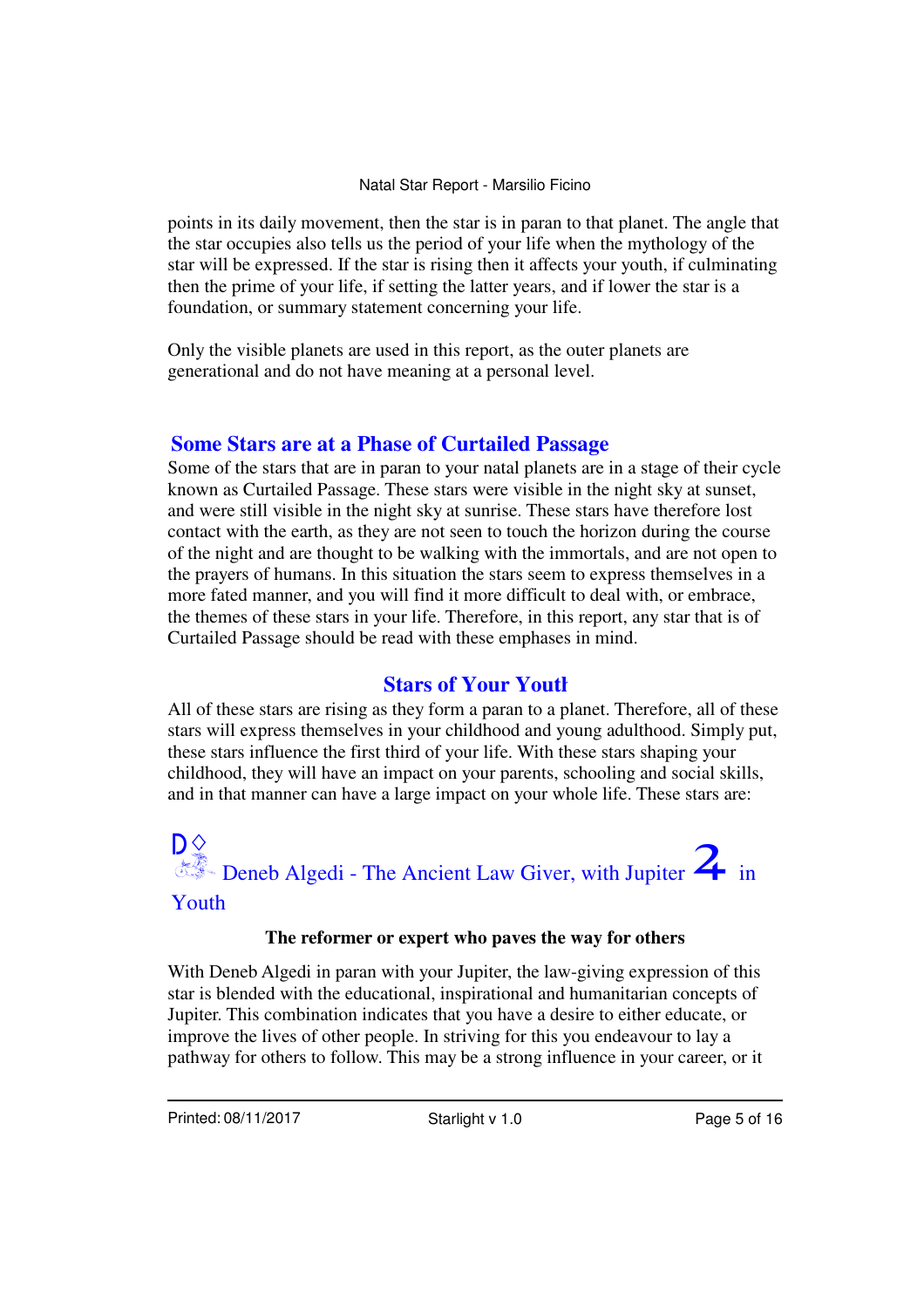points in its daily movement, then the star is in paran to that planet. The angle that the star occupies also tells us the period of your life when the mythology of the star will be expressed. If the star is rising then it affects your youth, if culminating then the prime of your life, if setting the latter years, and if lower the star is a foundation, or summary statement concerning your life.

Only the visible planets are used in this report, as the outer planets are generational and do not have meaning at a personal level.

### **Some Stars are at a Phase of Curtailed Passage**

Some of the stars that are in paran to your natal planets are in a stage of their cycle known as Curtailed Passage. These stars were visible in the night sky at sunset, and were still visible in the night sky at sunrise. These stars have therefore lost contact with the earth, as they are not seen to touch the horizon during the course of the night and are thought to be walking with the immortals, and are not open to the prayers of humans. In this situation the stars seem to express themselves in a more fated manner, and you will find it more difficult to deal with, or embrace, the themes of these stars in your life. Therefore, in this report, any star that is of Curtailed Passage should be read with these emphases in mind.

## **Stars of Your Youth**

All of these stars are rising as they form a paran to a planet. Therefore, all of these stars will express themselves in your childhood and young adulthood. Simply put, these stars influence the first third of your life. With these stars shaping your childhood, they will have an impact on your parents, schooling and social skills, and in that manner can have a large impact on your whole life. These stars are:

# **D** $\diamond$ <br>**Deneb Algedi - The Ancient Law Giver, with Jupiter**  $\mathbf{2}_{\text{in}}$  in Youth

### **The reformer or expert who paves the way for others**

With Deneb Algedi in paran with your Jupiter, the law-giving expression of this star is blended with the educational, inspirational and humanitarian concepts of Jupiter. This combination indicates that you have a desire to either educate, or improve the lives of other people. In striving for this you endeavour to lay a pathway for others to follow. This may be a strong influence in your career, or it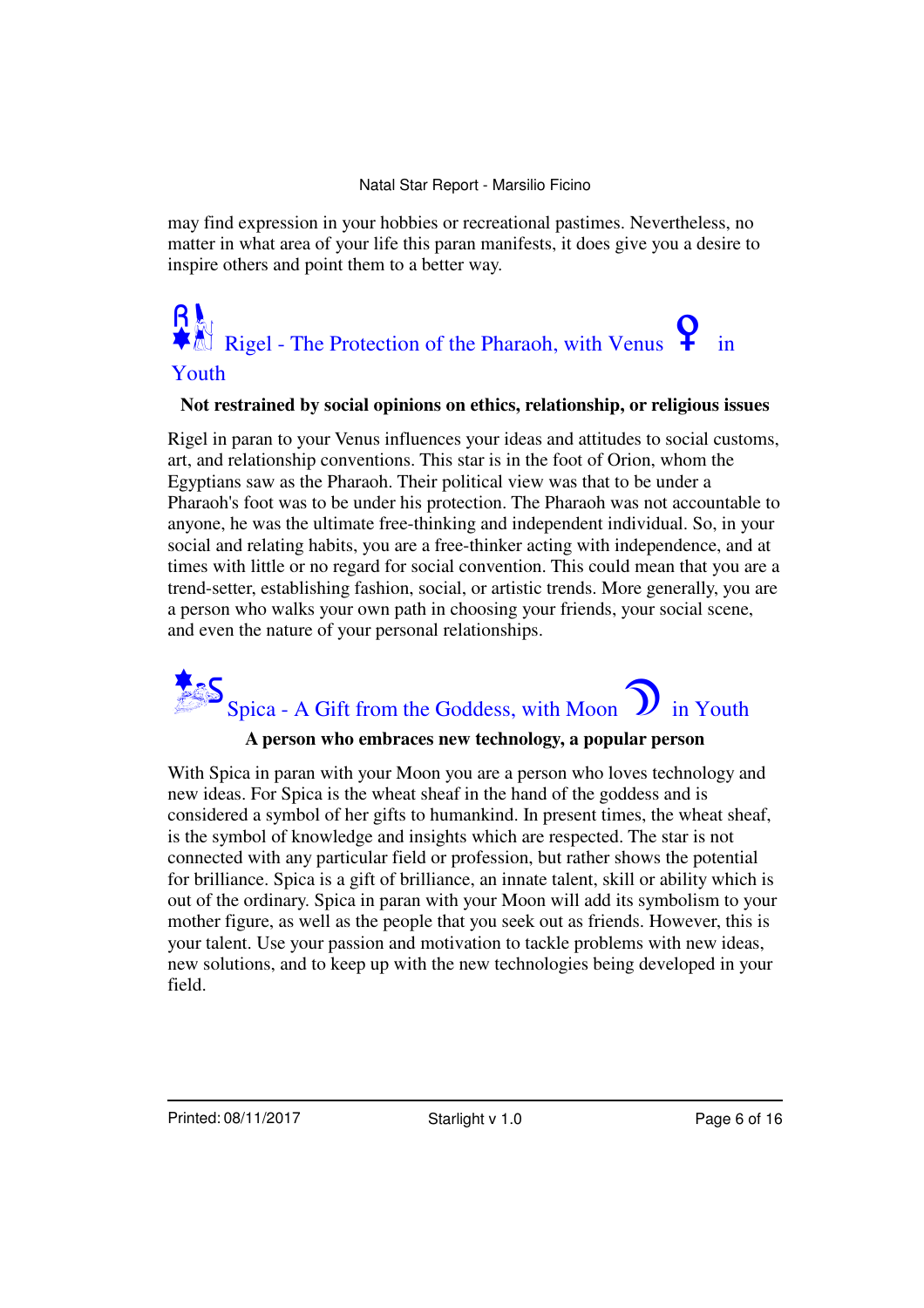may find expression in your hobbies or recreational pastimes. Nevertheless, no matter in what area of your life this paran manifests, it does give you a desire to inspire others and point them to a better way.

# $R_{\text{M}}$ <br> **W**Rigel - The Protection of the Pharaoh, with Venus<sup>?</sup> in

## Youth

#### **Not restrained by social opinions on ethics, relationship, or religious issues**

Rigel in paran to your Venus influences your ideas and attitudes to social customs, art, and relationship conventions. This star is in the foot of Orion, whom the Egyptians saw as the Pharaoh. Their political view was that to be under a Pharaoh's foot was to be under his protection. The Pharaoh was not accountable to anyone, he was the ultimate free-thinking and independent individual. So, in your social and relating habits, you are a free-thinker acting with independence, and at times with little or no regard for social convention. This could mean that you are a trend-setter, establishing fashion, social, or artistic trends. More generally, you are a person who walks your own path in choosing your friends, your social scene, and even the nature of your personal relationships.



#### **A person who embraces new technology, a popular person**

With Spica in paran with your Moon you are a person who loves technology and new ideas. For Spica is the wheat sheaf in the hand of the goddess and is considered a symbol of her gifts to humankind. In present times, the wheat sheaf, is the symbol of knowledge and insights which are respected. The star is not connected with any particular field or profession, but rather shows the potential for brilliance. Spica is a gift of brilliance, an innate talent, skill or ability which is out of the ordinary. Spica in paran with your Moon will add its symbolism to your mother figure, as well as the people that you seek out as friends. However, this is your talent. Use your passion and motivation to tackle problems with new ideas, new solutions, and to keep up with the new technologies being developed in your field.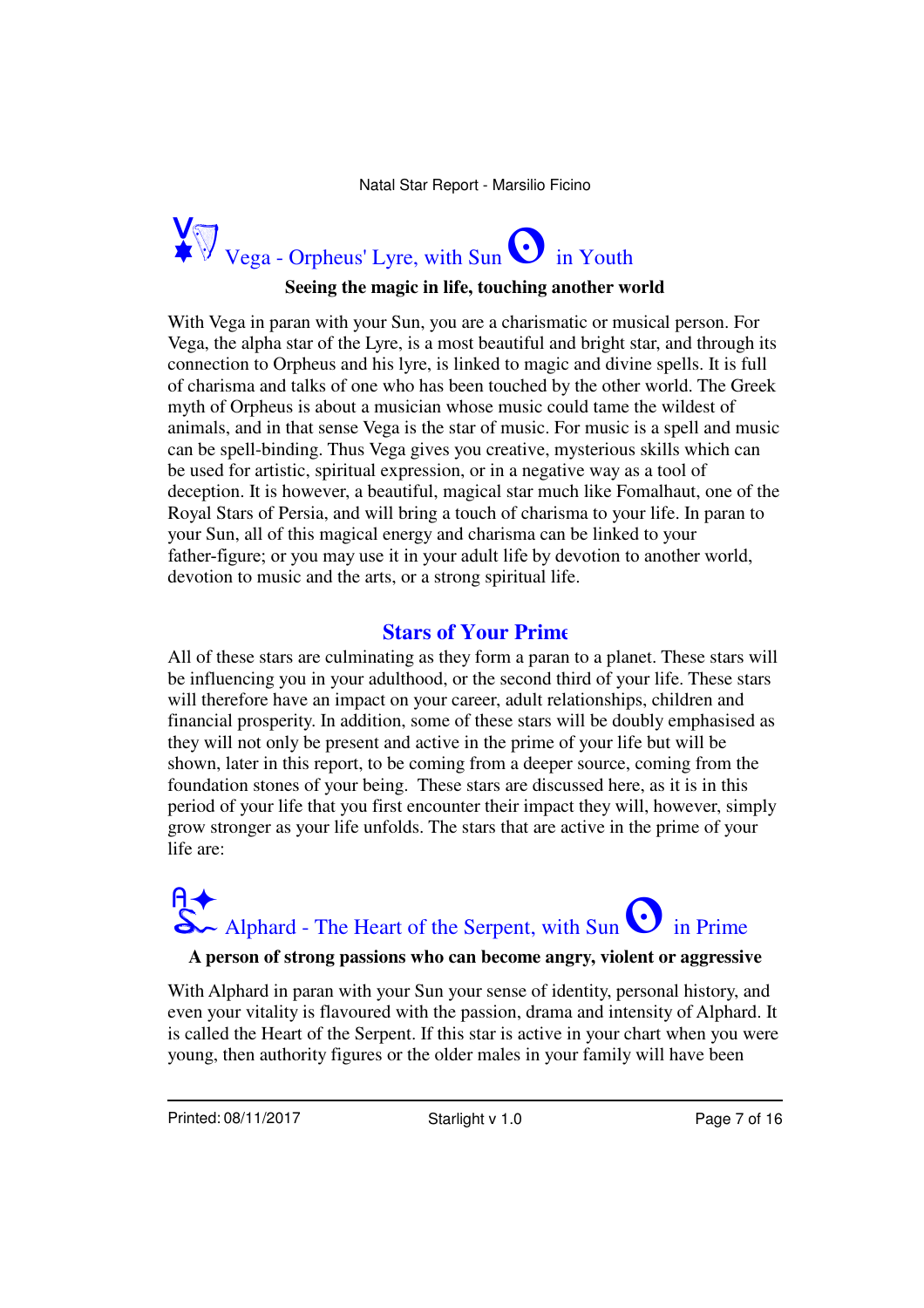

#### **Seeing the magic in life, touching another world**

With Vega in paran with your Sun, you are a charismatic or musical person. For Vega, the alpha star of the Lyre, is a most beautiful and bright star, and through its connection to Orpheus and his lyre, is linked to magic and divine spells. It is full of charisma and talks of one who has been touched by the other world. The Greek myth of Orpheus is about a musician whose music could tame the wildest of animals, and in that sense Vega is the star of music. For music is a spell and music can be spell-binding. Thus Vega gives you creative, mysterious skills which can be used for artistic, spiritual expression, or in a negative way as a tool of deception. It is however, a beautiful, magical star much like Fomalhaut, one of the Royal Stars of Persia, and will bring a touch of charisma to your life. In paran to your Sun, all of this magical energy and charisma can be linked to your father-figure; or you may use it in your adult life by devotion to another world, devotion to music and the arts, or a strong spiritual life.

### **Stars of Your Prime**

All of these stars are culminating as they form a paran to a planet. These stars will be influencing you in your adulthood, or the second third of your life. These stars will therefore have an impact on your career, adult relationships, children and financial prosperity. In addition, some of these stars will be doubly emphasised as they will not only be present and active in the prime of your life but will be shown, later in this report, to be coming from a deeper source, coming from the foundation stones of your being. These stars are discussed here, as it is in this period of your life that you first encounter their impact they will, however, simply grow stronger as your life unfolds. The stars that are active in the prime of your life are:

# $\mathsf{R}\blacklozenge$ <br>S Alphard - The Heart of the Serpent, with Sun<br>S in Prime

#### **A person of strong passions who can become angry, violent or aggressive**

With Alphard in paran with your Sun your sense of identity, personal history, and even your vitality is flavoured with the passion, drama and intensity of Alphard. It is called the Heart of the Serpent. If this star is active in your chart when you were young, then authority figures or the older males in your family will have been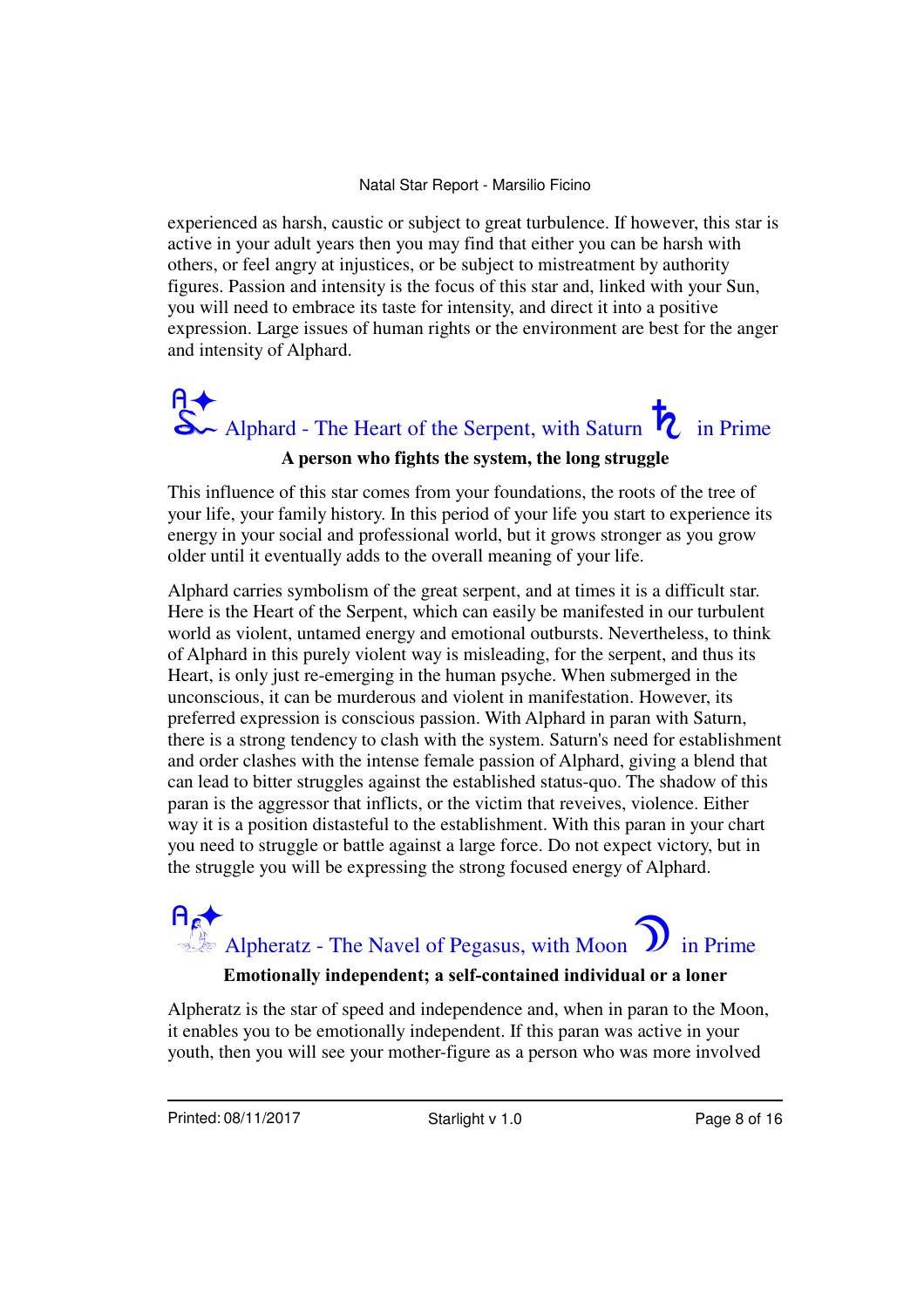experienced as harsh, caustic or subject to great turbulence. If however, this star is active in your adult years then you may find that either you can be harsh with others, or feel angry at injustices, or be subject to mistreatment by authority figures. Passion and intensity is the focus of this star and, linked with your Sun, you will need to embrace its taste for intensity, and direct it into a positive expression. Large issues of human rights or the environment are best for the anger and intensity of Alphard.



#### **A person who fights the system, the long struggle**

This influence of this star comes from your foundations, the roots of the tree of your life, your family history. In this period of your life you start to experience its energy in your social and professional world, but it grows stronger as you grow older until it eventually adds to the overall meaning of your life.

Alphard carries symbolism of the great serpent, and at times it is a difficult star. Here is the Heart of the Serpent, which can easily be manifested in our turbulent world as violent, untamed energy and emotional outbursts. Nevertheless, to think of Alphard in this purely violent way is misleading, for the serpent, and thus its Heart, is only just re-emerging in the human psyche. When submerged in the unconscious, it can be murderous and violent in manifestation. However, its preferred expression is conscious passion. With Alphard in paran with Saturn, there is a strong tendency to clash with the system. Saturn's need for establishment and order clashes with the intense female passion of Alphard, giving a blend that can lead to bitter struggles against the established status-quo. The shadow of this paran is the aggressor that inflicts, or the victim that reveives, violence. Either way it is a position distasteful to the establishment. With this paran in your chart you need to struggle or battle against a large force. Do not expect victory, but in the struggle you will be expressing the strong focused energy of Alphard.

# Alpheratz - The Navel of Pegasus, with Moon  $\sum$  in Prime

#### **Emotionally independent; a self-contained individual or a loner**

Alpheratz is the star of speed and independence and, when in paran to the Moon, it enables you to be emotionally independent. If this paran was active in your youth, then you will see your mother-figure as a person who was more involved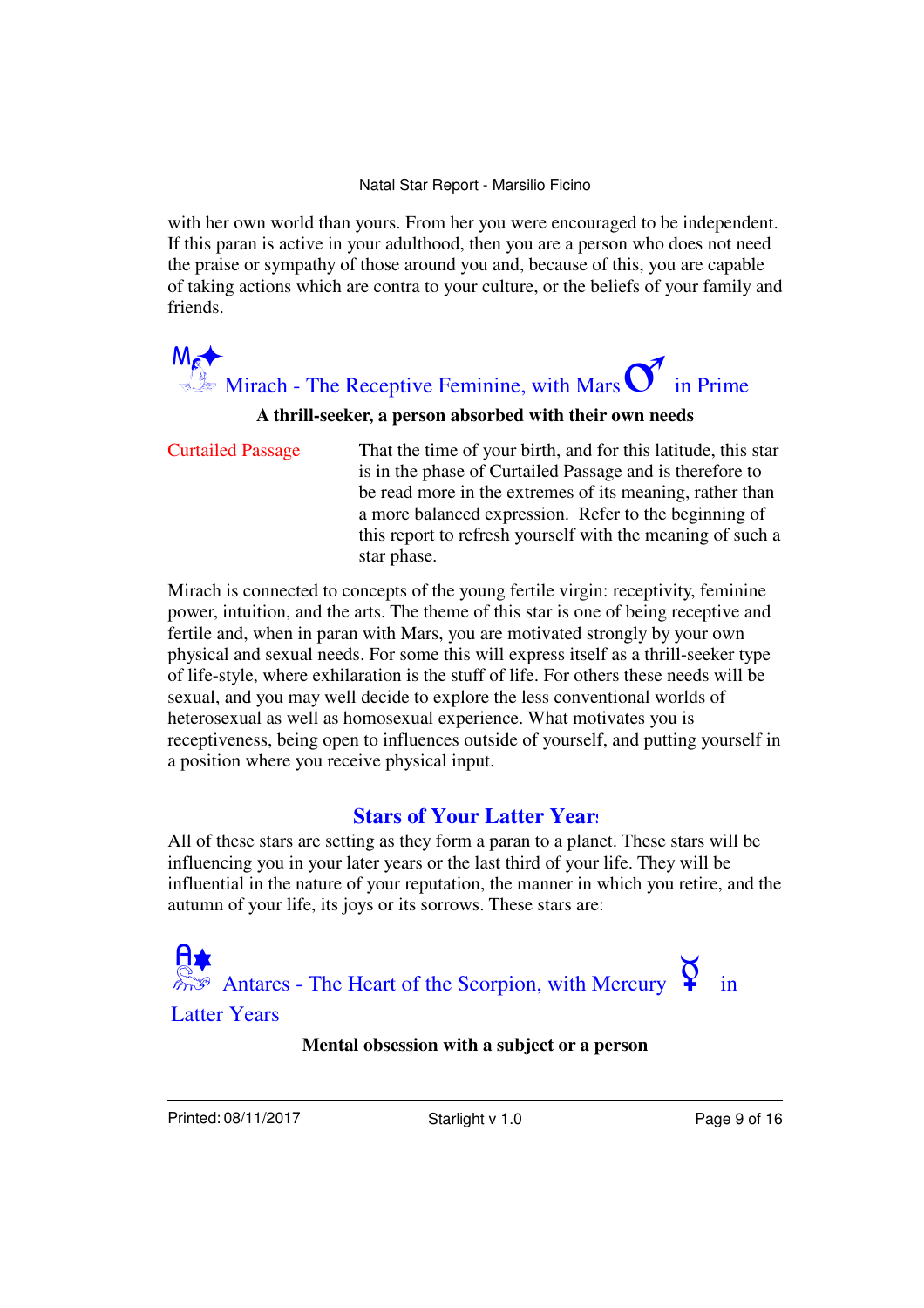with her own world than yours. From her you were encouraged to be independent. If this paran is active in your adulthood, then you are a person who does not need the praise or sympathy of those around you and, because of this, you are capable of taking actions which are contra to your culture, or the beliefs of your family and friends.



#### **A thrill-seeker, a person absorbed with their own needs**

That the time of your birth, and for this latitude, this star is in the phase of Curtailed Passage and is therefore to be read more in the extremes of its meaning, rather than a more balanced expression. Refer to the beginning of this report to refresh yourself with the meaning of such a star phase. Curtailed Passage

Mirach is connected to concepts of the young fertile virgin: receptivity, feminine power, intuition, and the arts. The theme of this star is one of being receptive and fertile and, when in paran with Mars, you are motivated strongly by your own physical and sexual needs. For some this will express itself as a thrill-seeker type of life-style, where exhilaration is the stuff of life. For others these needs will be sexual, and you may well decide to explore the less conventional worlds of heterosexual as well as homosexual experience. What motivates you is receptiveness, being open to influences outside of yourself, and putting yourself in a position where you receive physical input.

### **Stars of Your Latter Years**

All of these stars are setting as they form a paran to a planet. These stars will be influencing you in your later years or the last third of your life. They will be influential in the nature of your reputation, the manner in which you retire, and the autumn of your life, its joys or its sorrows. These stars are:

A<br> $\mathbb{R}^*$  Antares - The Heart of the Scorpion, with Mercury<br>**P** Latter Years

#### **Mental obsession with a subject or a person**

Printed: 08/11/2017 Starlight v 1.0 Page 9 of 16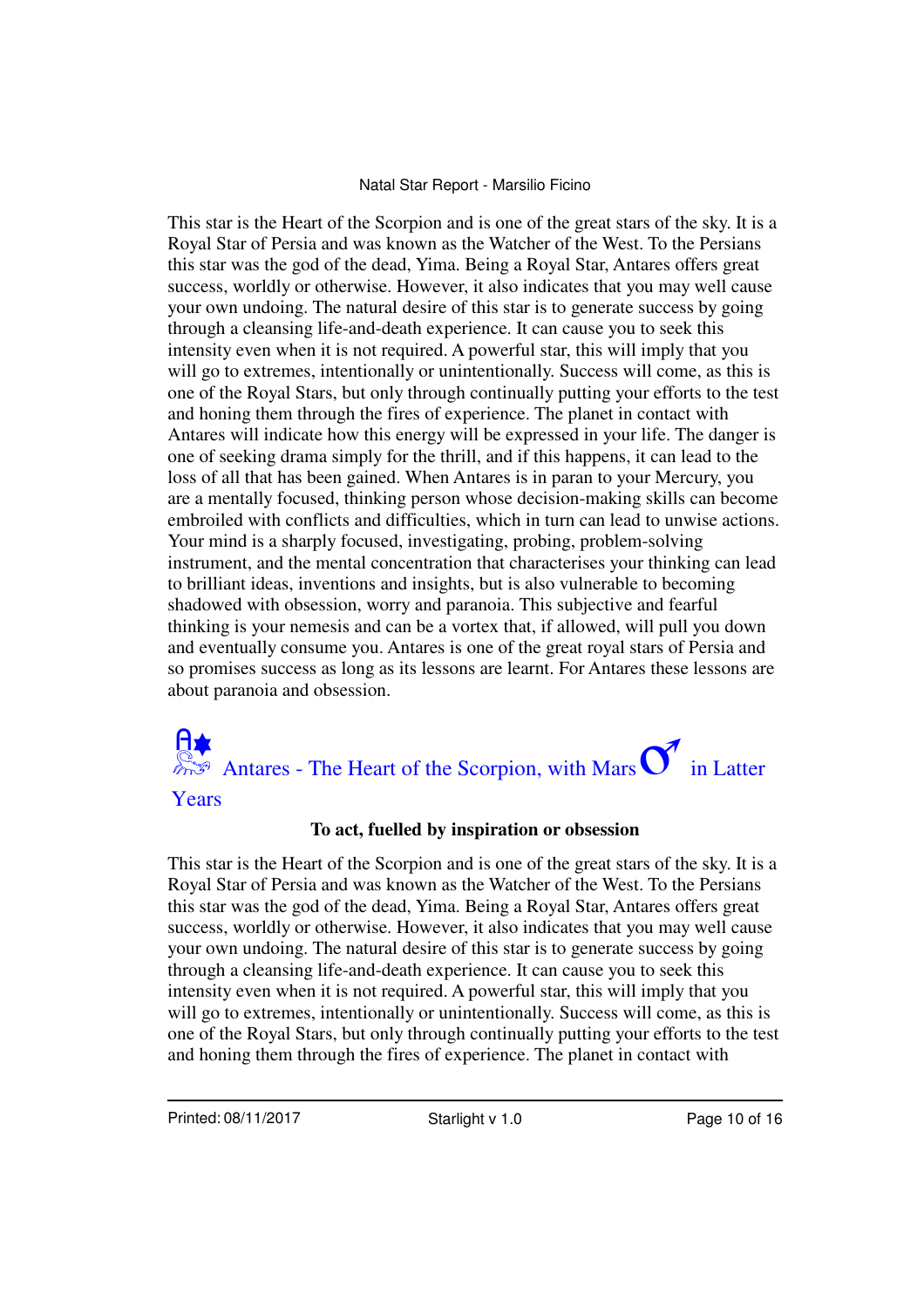This star is the Heart of the Scorpion and is one of the great stars of the sky. It is a Royal Star of Persia and was known as the Watcher of the West. To the Persians this star was the god of the dead, Yima. Being a Royal Star, Antares offers great success, worldly or otherwise. However, it also indicates that you may well cause your own undoing. The natural desire of this star is to generate success by going through a cleansing life-and-death experience. It can cause you to seek this intensity even when it is not required. A powerful star, this will imply that you will go to extremes, intentionally or unintentionally. Success will come, as this is one of the Royal Stars, but only through continually putting your efforts to the test and honing them through the fires of experience. The planet in contact with Antares will indicate how this energy will be expressed in your life. The danger is one of seeking drama simply for the thrill, and if this happens, it can lead to the loss of all that has been gained. When Antares is in paran to your Mercury, you are a mentally focused, thinking person whose decision-making skills can become embroiled with conflicts and difficulties, which in turn can lead to unwise actions. Your mind is a sharply focused, investigating, probing, problem-solving instrument, and the mental concentration that characterises your thinking can lead to brilliant ideas, inventions and insights, but is also vulnerable to becoming shadowed with obsession, worry and paranoia. This subjective and fearful thinking is your nemesis and can be a vortex that, if allowed, will pull you down and eventually consume you. Antares is one of the great royal stars of Persia and so promises success as long as its lessons are learnt. For Antares these lessons are about paranoia and obsession.



#### **To act, fuelled by inspiration or obsession**

This star is the Heart of the Scorpion and is one of the great stars of the sky. It is a Royal Star of Persia and was known as the Watcher of the West. To the Persians this star was the god of the dead, Yima. Being a Royal Star, Antares offers great success, worldly or otherwise. However, it also indicates that you may well cause your own undoing. The natural desire of this star is to generate success by going through a cleansing life-and-death experience. It can cause you to seek this intensity even when it is not required. A powerful star, this will imply that you will go to extremes, intentionally or unintentionally. Success will come, as this is one of the Royal Stars, but only through continually putting your efforts to the test and honing them through the fires of experience. The planet in contact with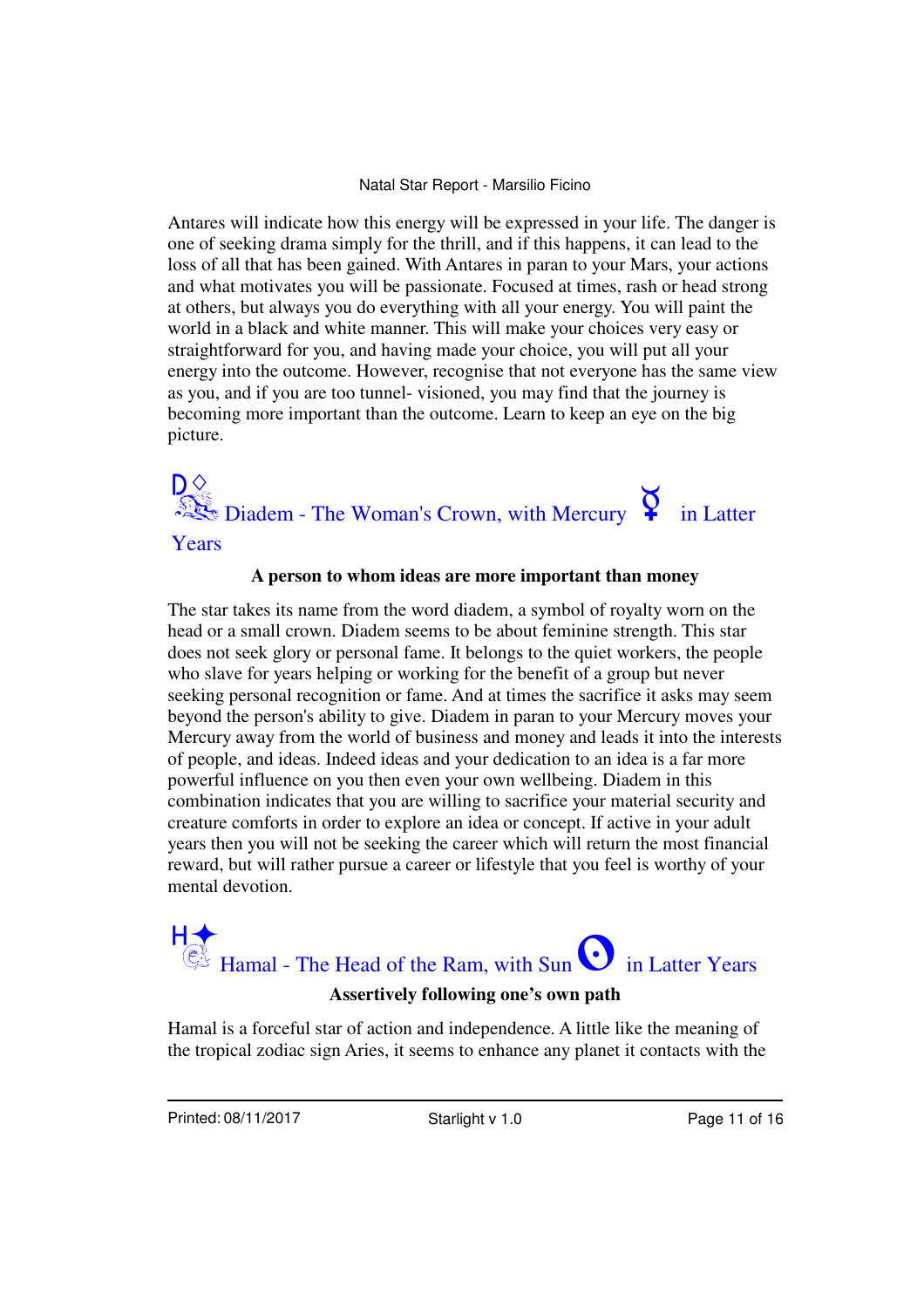Antares will indicate how this energy will be expressed in your life. The danger is one of seeking drama simply for the thrill, and if this happens, it can lead to the loss of all that has been gained. With Antares in paran to your Mars, your actions and what motivates you will be passionate. Focused at times, rash or head strong at others, but always you do everything with all your energy. You will paint the world in a black and white manner. This will make your choices very easy or straightforward for you, and having made your choice, you will put all your energy into the outcome. However, recognise that not everyone has the same view as you, and if you are too tunnel- visioned, you may find that the journey is becoming more important than the outcome. Learn to keep an eye on the big picture.

# $\sum_{n=1}^{\infty}$  Diadem - The Woman's Crown, with Mercury  $\sum_{n=1}^{\infty}$  in Latter

Years

#### **A person to whom ideas are more important than money**

The star takes its name from the word diadem, a symbol of royalty worn on the head or a small crown. Diadem seems to be about feminine strength. This star does not seek glory or personal fame. It belongs to the quiet workers, the people who slave for years helping or working for the benefit of a group but never seeking personal recognition or fame. And at times the sacrifice it asks may seem beyond the person's ability to give. Diadem in paran to your Mercury moves your Mercury away from the world of business and money and leads it into the interests of people, and ideas. Indeed ideas and your dedication to an idea is a far more powerful influence on you then even your own wellbeing. Diadem in this combination indicates that you are willing to sacrifice your material security and creature comforts in order to explore an idea or concept. If active in your adult years then you will not be seeking the career which will return the most financial reward, but will rather pursue a career or lifestyle that you feel is worthy of your mental devotion.

## HA<br>Hamal - The Head of the Ram, with Sun<br> $\bigodot$  in Latter Years **Assertively following one's own path**

Hamal is a forceful star of action and independence. A little like the meaning of the tropical zodiac sign Aries, it seems to enhance any planet it contacts with the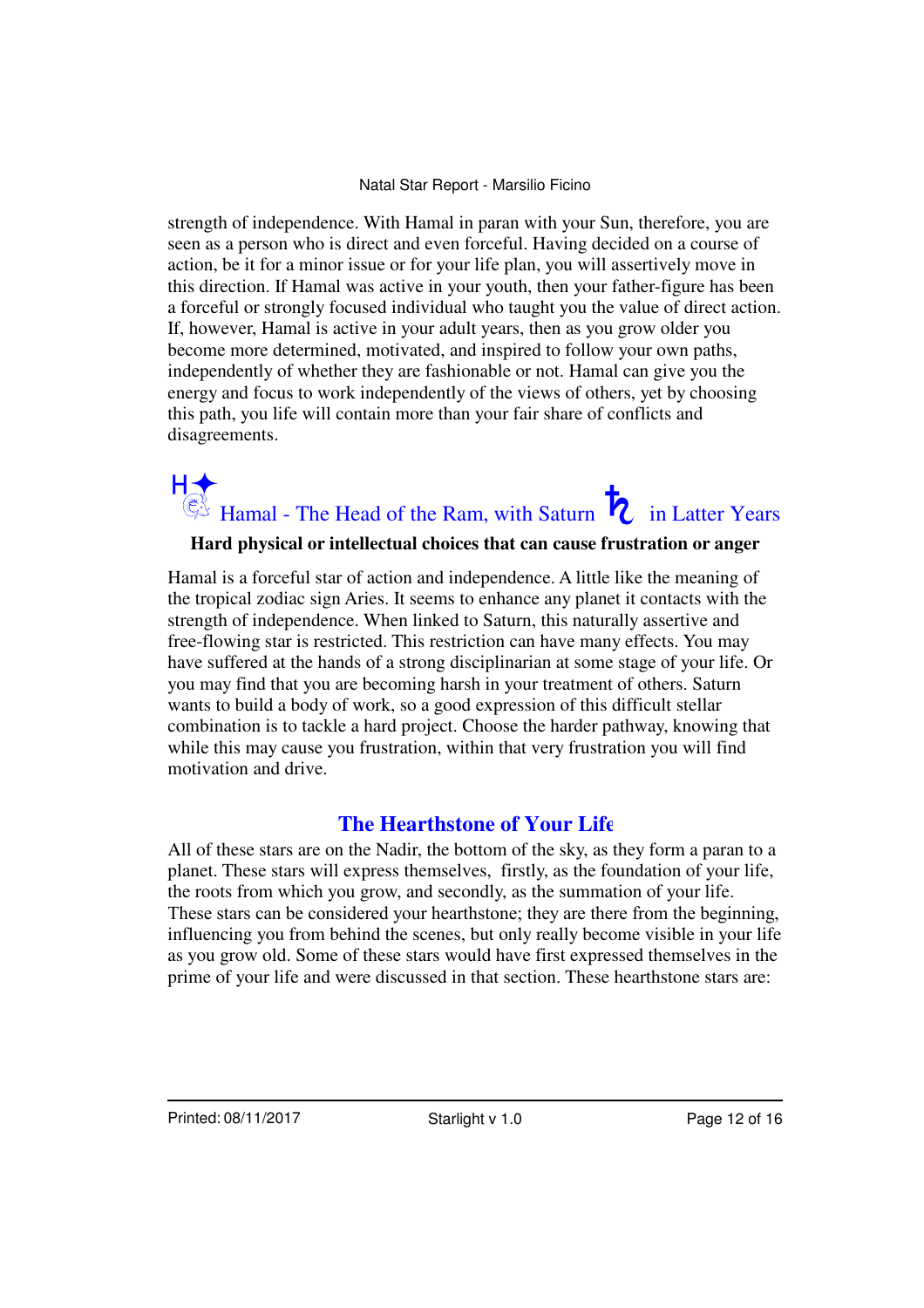strength of independence. With Hamal in paran with your Sun, therefore, you are seen as a person who is direct and even forceful. Having decided on a course of action, be it for a minor issue or for your life plan, you will assertively move in this direction. If Hamal was active in your youth, then your father-figure has been a forceful or strongly focused individual who taught you the value of direct action. If, however, Hamal is active in your adult years, then as you grow older you become more determined, motivated, and inspired to follow your own paths, independently of whether they are fashionable or not. Hamal can give you the energy and focus to work independently of the views of others, yet by choosing this path, you life will contain more than your fair share of conflicts and disagreements.

# $H \leftarrow$ <br>14Hamal - The Head of the Ram, with Saturn  $\overline{R}$  in Latter Years

### **Hard physical or intellectual choices that can cause frustration or anger**

Hamal is a forceful star of action and independence. A little like the meaning of the tropical zodiac sign Aries. It seems to enhance any planet it contacts with the strength of independence. When linked to Saturn, this naturally assertive and free-flowing star is restricted. This restriction can have many effects. You may have suffered at the hands of a strong disciplinarian at some stage of your life. Or you may find that you are becoming harsh in your treatment of others. Saturn wants to build a body of work, so a good expression of this difficult stellar combination is to tackle a hard project. Choose the harder pathway, knowing that while this may cause you frustration, within that very frustration you will find motivation and drive.

## **The Hearthstone of Your Life**

All of these stars are on the Nadir, the bottom of the sky, as they form a paran to a planet. These stars will express themselves, firstly, as the foundation of your life, the roots from which you grow, and secondly, as the summation of your life. These stars can be considered your hearthstone; they are there from the beginning, influencing you from behind the scenes, but only really become visible in your life as you grow old. Some of these stars would have first expressed themselves in the prime of your life and were discussed in that section. These hearthstone stars are: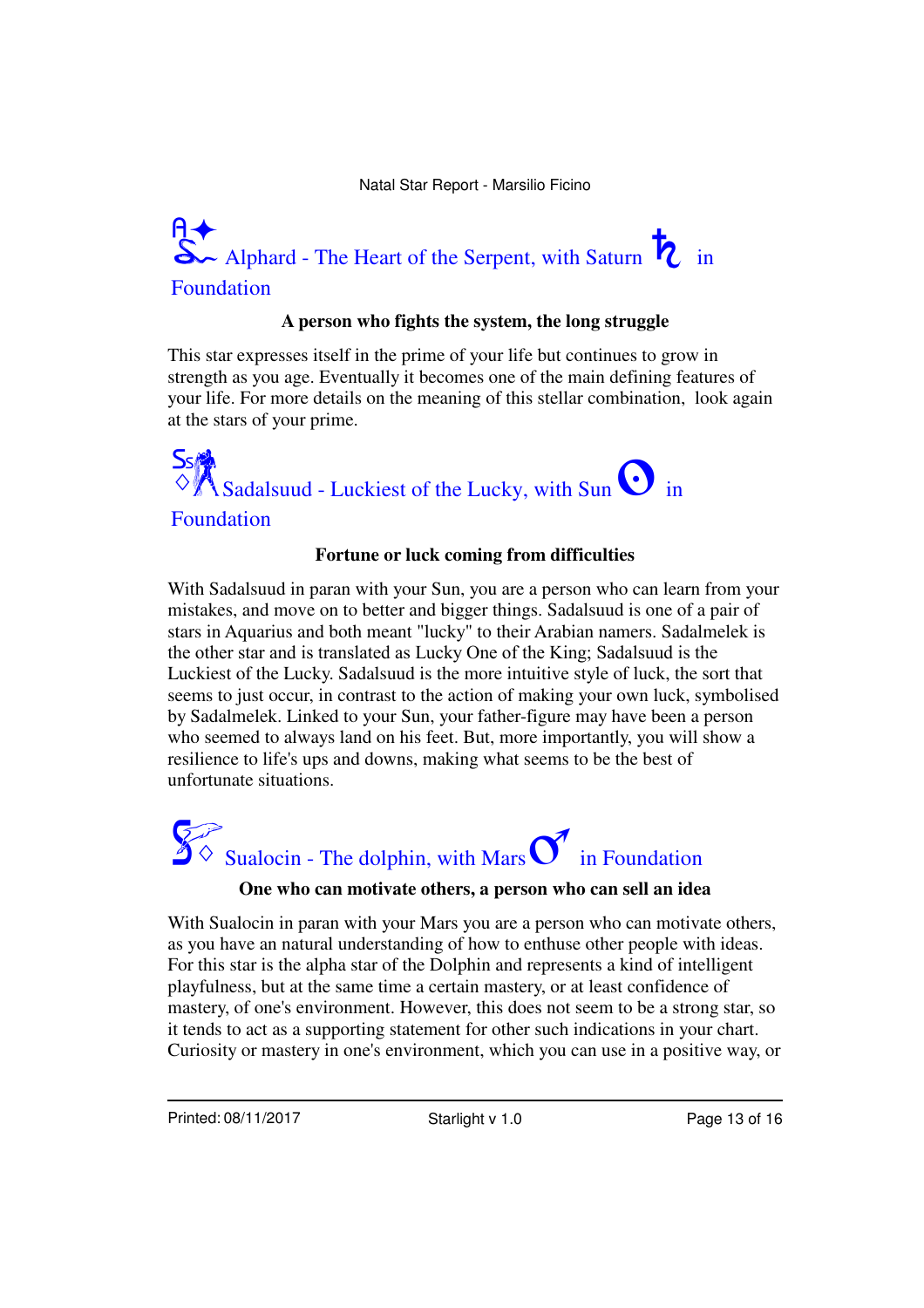# $\sim$  Alphard - The Heart of the Serpent, with Saturn  $\overline{R}$  in Foundation

#### **A person who fights the system, the long struggle**

This star expresses itself in the prime of your life but continues to grow in strength as you age. Eventually it becomes one of the main defining features of your life. For more details on the meaning of this stellar combination, look again at the stars of your prime.



#### **Fortune or luck coming from difficulties**

With Sadalsuud in paran with your Sun, you are a person who can learn from your mistakes, and move on to better and bigger things. Sadalsuud is one of a pair of stars in Aquarius and both meant "lucky" to their Arabian namers. Sadalmelek is the other star and is translated as Lucky One of the King; Sadalsuud is the Luckiest of the Lucky. Sadalsuud is the more intuitive style of luck, the sort that seems to just occur, in contrast to the action of making your own luck, symbolised by Sadalmelek. Linked to your Sun, your father-figure may have been a person who seemed to always land on his feet. But, more importantly, you will show a resilience to life's ups and downs, making what seems to be the best of unfortunate situations.

# $\mathcal{L}$  Sualocin - The dolphin, with Mars  $\mathcal{L}$  in Foundation

#### **One who can motivate others, a person who can sell an idea**

With Sualocin in paran with your Mars you are a person who can motivate others, as you have an natural understanding of how to enthuse other people with ideas. For this star is the alpha star of the Dolphin and represents a kind of intelligent playfulness, but at the same time a certain mastery, or at least confidence of mastery, of one's environment. However, this does not seem to be a strong star, so it tends to act as a supporting statement for other such indications in your chart. Curiosity or mastery in one's environment, which you can use in a positive way, or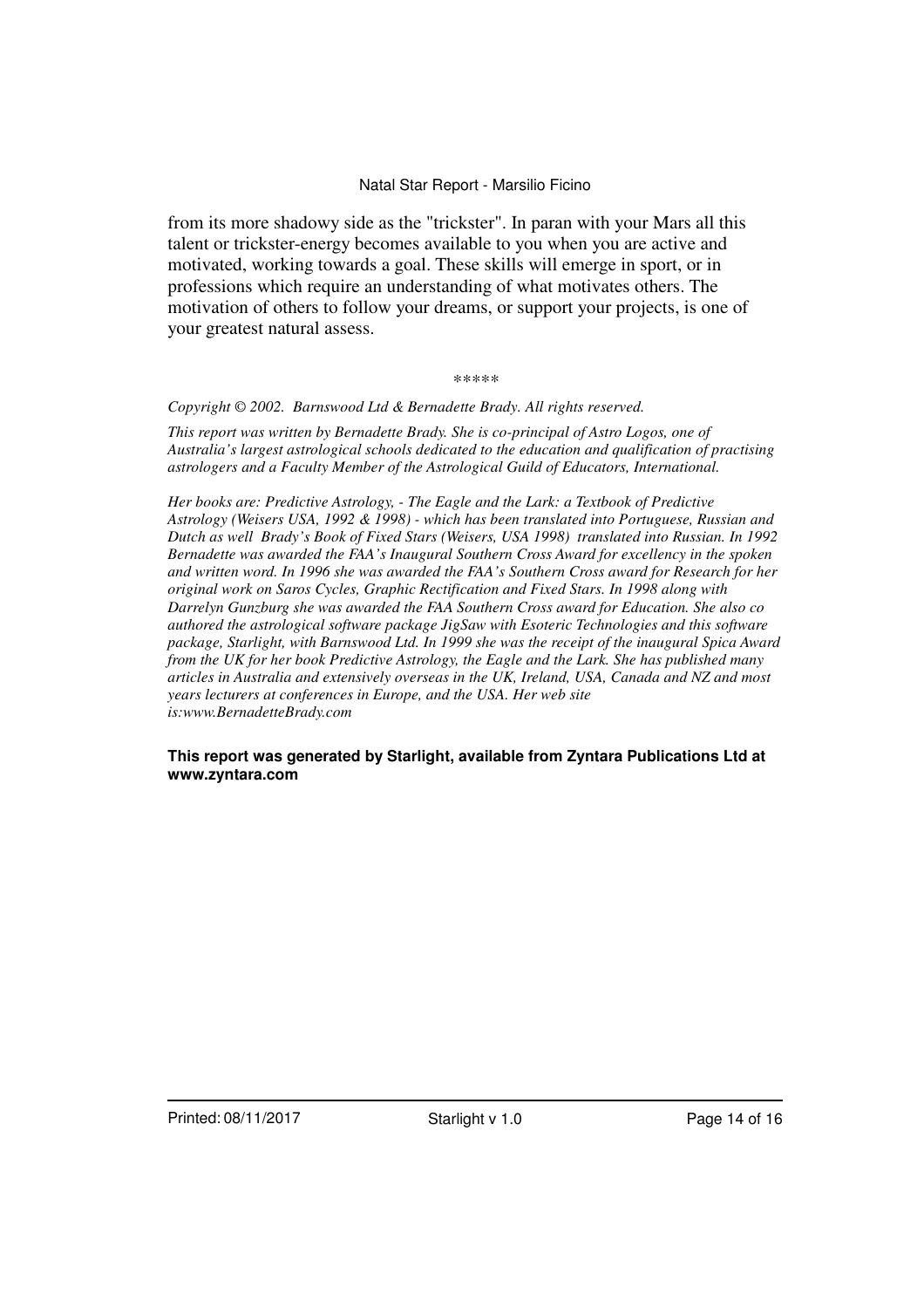from its more shadowy side as the "trickster". In paran with your Mars all this talent or trickster-energy becomes available to you when you are active and motivated, working towards a goal. These skills will emerge in sport, or in professions which require an understanding of what motivates others. The motivation of others to follow your dreams, or support your projects, is one of your greatest natural assess.

#### *\*\*\*\*\**

#### *Copyright © 2002. Barnswood Ltd & Bernadette Brady. All rights reserved.*

*This report was written by Bernadette Brady. She is co-principal of Astro Logos, one of Australia's largest astrological schools dedicated to the education and qualification of practising astrologers and a Faculty Member of the Astrological Guild of Educators, International.*

*Her books are: Predictive Astrology, - The Eagle and the Lark: a Textbook of Predictive Astrology (Weisers USA, 1992 & 1998) - which has been translated into Portuguese, Russian and Dutch as well Brady's Book of Fixed Stars (Weisers, USA 1998) translated into Russian. In 1992 Bernadette was awarded the FAA's Inaugural Southern Cross Award for excellency in the spoken and written word. In 1996 she was awarded the FAA's Southern Cross award for Research for her original work on Saros Cycles, Graphic Rectification and Fixed Stars. In 1998 along with Darrelyn Gunzburg she was awarded the FAA Southern Cross award for Education. She also co authored the astrological software package JigSaw with Esoteric Technologies and this software package, Starlight, with Barnswood Ltd. In 1999 she was the receipt of the inaugural Spica Award from the UK for her book Predictive Astrology, the Eagle and the Lark. She has published many articles in Australia and extensively overseas in the UK, Ireland, USA, Canada and NZ and most years lecturers at conferences in Europe, and the USA. Her web site is:www.BernadetteBrady.com*

#### **This report was generated by Starlight, available from Zyntara Publications Ltd at www.zyntara.com**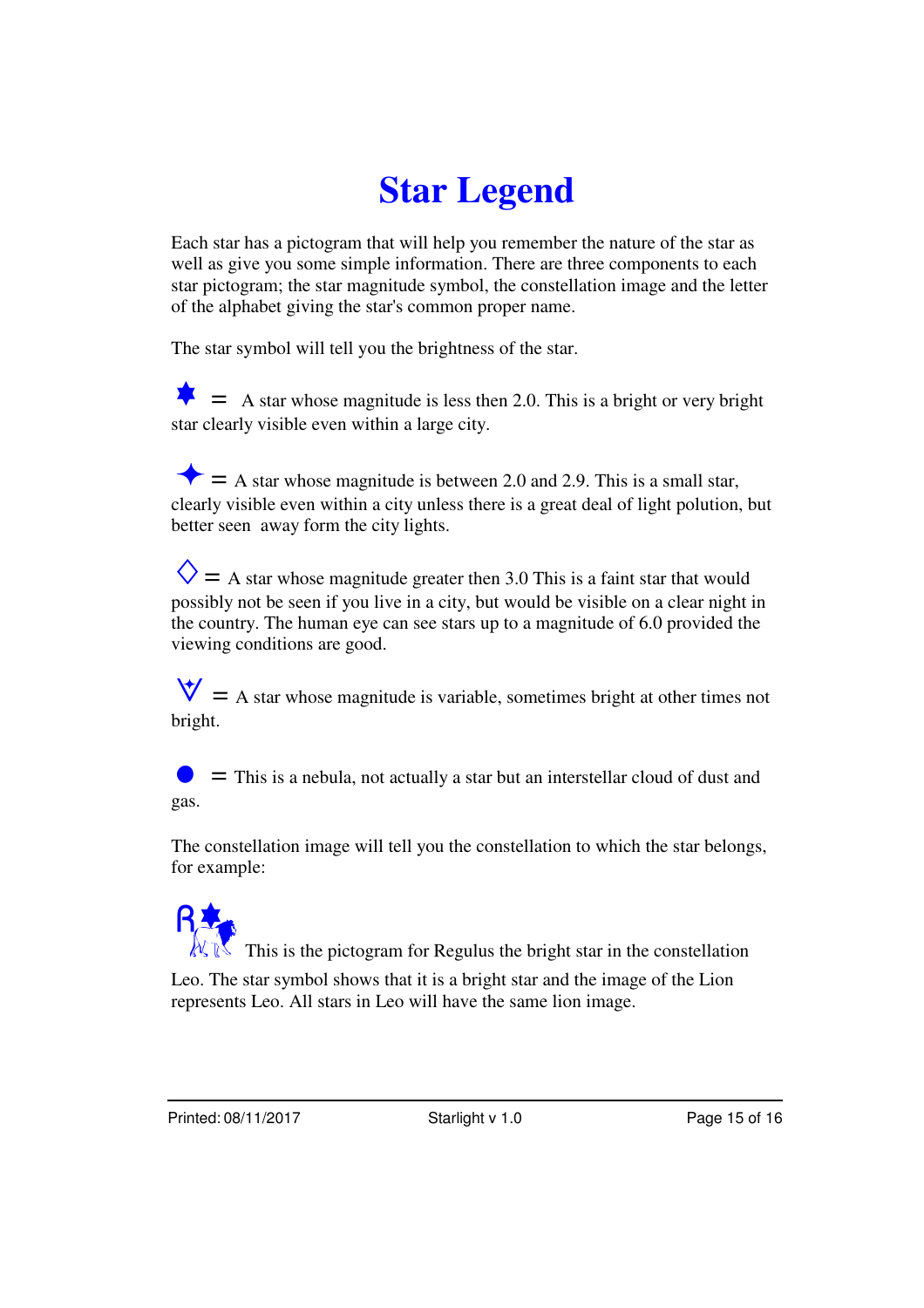# **Star Legend**

Each star has a pictogram that will help you remember the nature of the star as well as give you some simple information. There are three components to each star pictogram; the star magnitude symbol, the constellation image and the letter of the alphabet giving the star's common proper name.

The star symbol will tell you the brightness of the star.

 $\bullet$  = A star whose magnitude is less then 2.0. This is a bright or very bright star clearly visible even within a large city.

 $\blacktriangleright$  = A star whose magnitude is between 2.0 and 2.9. This is a small star, clearly visible even within a city unless there is a great deal of light polution, but better seen away form the city lights.

 $\diamondsuit$  = A star whose magnitude greater then 3.0 This is a faint star that would possibly not be seen if you live in a city, but would be visible on a clear night in the country. The human eye can see stars up to a magnitude of 6.0 provided the viewing conditions are good.

 $\forall$  = A star whose magnitude is variable, sometimes bright at other times not bright.

 $\bullet$   $\bullet$   $\bullet$  This is a nebula, not actually a star but an interstellar cloud of dust and gas.

The constellation image will tell you the constellation to which the star belongs, for example:

 $\mathbb{N}$  This is the pictogram for Regulus the bright star in the constellation Leo. The star symbol shows that it is a bright star and the image of the Lion represents Leo. All stars in Leo will have the same lion image.